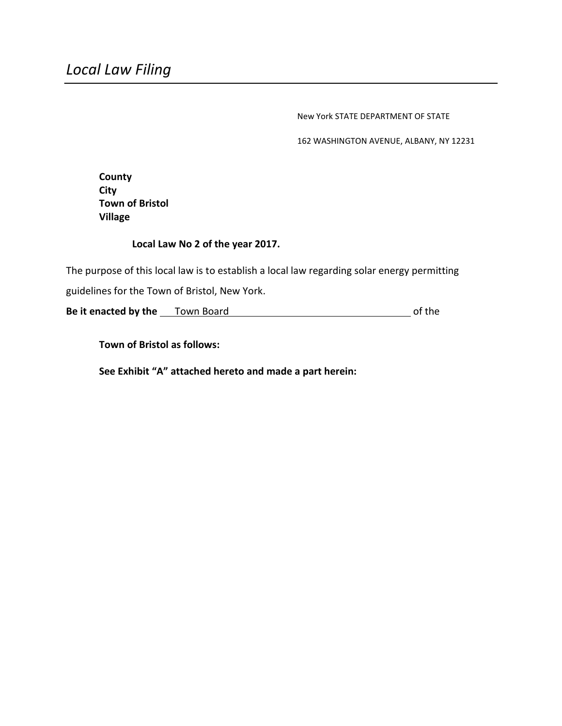New York STATE DEPARTMENT OF STATE

162 WASHINGTON AVENUE, ALBANY, NY 12231

**County City Town of Bristol Village**

#### **Local Law No 2 of the year 2017.**

The purpose of this local law is to establish a local law regarding solar energy permitting guidelines for the Town of Bristol, New York.

**Be it enacted by the** Town Board of the

**Town of Bristol as follows:**

**See Exhibit "A" attached hereto and made a part herein:**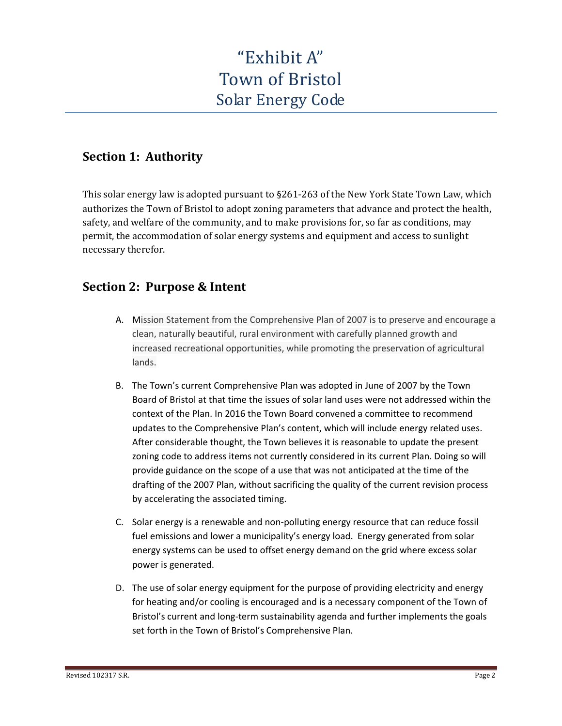# "Exhibit A" Town of Bristol Solar Energy Code

## **Section 1: Authority**

This solar energy law is adopted pursuant to §261-263 of the New York State Town Law, which authorizes the Town of Bristol to adopt zoning parameters that advance and protect the health, safety, and welfare of the community, and to make provisions for, so far as conditions, may permit, the accommodation of solar energy systems and equipment and access to sunlight necessary therefor.

# **Section 2: Purpose & Intent**

- A. Mission Statement from the Comprehensive Plan of 2007 is to preserve and encourage a clean, naturally beautiful, rural environment with carefully planned growth and increased recreational opportunities, while promoting the preservation of agricultural lands.
- B. The Town's current Comprehensive Plan was adopted in June of 2007 by the Town Board of Bristol at that time the issues of solar land uses were not addressed within the context of the Plan. In 2016 the Town Board convened a committee to recommend updates to the Comprehensive Plan's content, which will include energy related uses. After considerable thought, the Town believes it is reasonable to update the present zoning code to address items not currently considered in its current Plan. Doing so will provide guidance on the scope of a use that was not anticipated at the time of the drafting of the 2007 Plan, without sacrificing the quality of the current revision process by accelerating the associated timing.
- C. Solar energy is a renewable and non-polluting energy resource that can reduce fossil fuel emissions and lower a municipality's energy load. Energy generated from solar energy systems can be used to offset energy demand on the grid where excess solar power is generated.
- D. The use of solar energy equipment for the purpose of providing electricity and energy for heating and/or cooling is encouraged and is a necessary component of the Town of Bristol's current and long-term sustainability agenda and further implements the goals set forth in the Town of Bristol's Comprehensive Plan.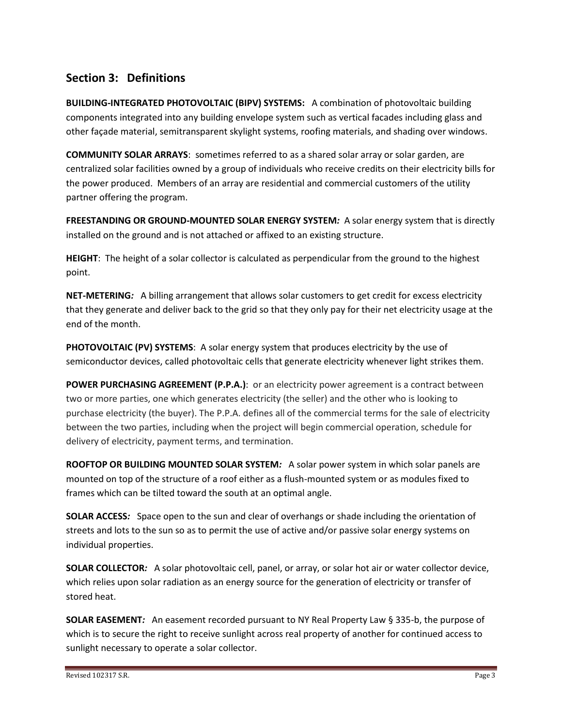## **Section 3: Definitions**

**BUILDING-INTEGRATED PHOTOVOLTAIC (BIPV) SYSTEMS:** A combination of photovoltaic building components integrated into any building envelope system such as vertical facades including glass and other façade material, semitransparent skylight systems, roofing materials, and shading over windows.

**COMMUNITY SOLAR ARRAYS**: sometimes referred to as a shared solar array or solar garden, are centralized solar facilities owned by a group of individuals who receive credits on their electricity bills for the power produced. Members of an array are residential and commercial customers of the utility partner offering the program.

**FREESTANDING OR GROUND-MOUNTED SOLAR ENERGY SYSTEM***:* A solar energy system that is directly installed on the ground and is not attached or affixed to an existing structure.

**HEIGHT**: The height of a solar collector is calculated as perpendicular from the ground to the highest point.

**NET-METERING***:* A billing arrangement that allows solar customers to get credit for excess electricity that they generate and deliver back to the grid so that they only pay for their net electricity usage at the end of the month.

**PHOTOVOLTAIC (PV) SYSTEMS**: A solar energy system that produces electricity by the use of semiconductor devices, called photovoltaic cells that generate electricity whenever light strikes them.

**POWER PURCHASING AGREEMENT (P.P.A.):** or an electricity power agreement is a contract between two or more parties, one which generates electricity (the seller) and the other who is looking to purchase electricity (the buyer). The P.P.A. defines all of the commercial terms for the sale of electricity between the two parties, including when the project will begin commercial operation, schedule for delivery of electricity, payment terms, and termination.

**ROOFTOP OR BUILDING MOUNTED SOLAR SYSTEM***:* A solar power system in which solar panels are mounted on top of the structure of a roof either as a flush-mounted system or as modules fixed to frames which can be tilted toward the south at an optimal angle.

**SOLAR ACCESS***:* Space open to the sun and clear of overhangs or shade including the orientation of streets and lots to the sun so as to permit the use of active and/or passive solar energy systems on individual properties.

**SOLAR COLLECTOR***:* A solar photovoltaic cell, panel, or array, or solar hot air or water collector device, which relies upon solar radiation as an energy source for the generation of electricity or transfer of stored heat.

**SOLAR EASEMENT***:* An easement recorded pursuant to NY Real Property Law § 335-b, the purpose of which is to secure the right to receive sunlight across real property of another for continued access to sunlight necessary to operate a solar collector.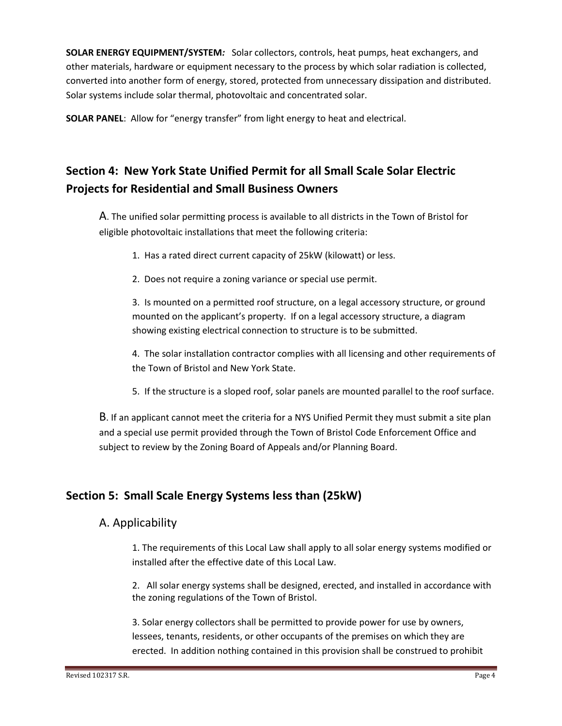**SOLAR ENERGY EQUIPMENT/SYSTEM***:* Solar collectors, controls, heat pumps, heat exchangers, and other materials, hardware or equipment necessary to the process by which solar radiation is collected, converted into another form of energy, stored, protected from unnecessary dissipation and distributed. Solar systems include solar thermal, photovoltaic and concentrated solar.

**SOLAR PANEL**: Allow for "energy transfer" from light energy to heat and electrical.

# **Section 4: New York State Unified Permit for all Small Scale Solar Electric Projects for Residential and Small Business Owners**

A. The unified solar permitting process is available to all districts in the Town of Bristol for eligible photovoltaic installations that meet the following criteria:

- 1. Has a rated direct current capacity of 25kW (kilowatt) or less.
- 2. Does not require a zoning variance or special use permit.

3. Is mounted on a permitted roof structure, on a legal accessory structure, or ground mounted on the applicant's property. If on a legal accessory structure, a diagram showing existing electrical connection to structure is to be submitted.

4. The solar installation contractor complies with all licensing and other requirements of the Town of Bristol and New York State.

5. If the structure is a sloped roof, solar panels are mounted parallel to the roof surface.

B. If an applicant cannot meet the criteria for a NYS Unified Permit they must submit a site plan and a special use permit provided through the Town of Bristol Code Enforcement Office and subject to review by the Zoning Board of Appeals and/or Planning Board.

# **Section 5: Small Scale Energy Systems less than (25kW)**

#### A. Applicability

1. The requirements of this Local Law shall apply to all solar energy systems modified or installed after the effective date of this Local Law.

2. All solar energy systems shall be designed, erected, and installed in accordance with the zoning regulations of the Town of Bristol.

3. Solar energy collectors shall be permitted to provide power for use by owners, lessees, tenants, residents, or other occupants of the premises on which they are erected. In addition nothing contained in this provision shall be construed to prohibit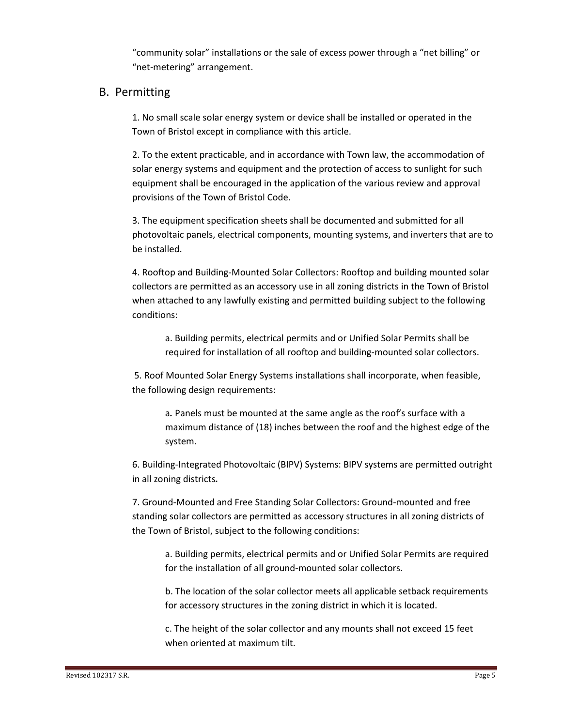"community solar" installations or the sale of excess power through a "net billing" or "net-metering" arrangement.

#### B. Permitting

1. No small scale solar energy system or device shall be installed or operated in the Town of Bristol except in compliance with this article.

2. To the extent practicable, and in accordance with Town law, the accommodation of solar energy systems and equipment and the protection of access to sunlight for such equipment shall be encouraged in the application of the various review and approval provisions of the Town of Bristol Code.

3. The equipment specification sheets shall be documented and submitted for all photovoltaic panels, electrical components, mounting systems, and inverters that are to be installed.

4. Rooftop and Building-Mounted Solar Collectors: Rooftop and building mounted solar collectors are permitted as an accessory use in all zoning districts in the Town of Bristol when attached to any lawfully existing and permitted building subject to the following conditions:

a. Building permits, electrical permits and or Unified Solar Permits shall be required for installation of all rooftop and building-mounted solar collectors.

5. Roof Mounted Solar Energy Systems installations shall incorporate, when feasible, the following design requirements:

a*.* Panels must be mounted at the same angle as the roof's surface with a maximum distance of (18) inches between the roof and the highest edge of the system.

6. Building-Integrated Photovoltaic (BIPV) Systems: BIPV systems are permitted outright in all zoning districts*.* 

7. Ground-Mounted and Free Standing Solar Collectors: Ground-mounted and free standing solar collectors are permitted as accessory structures in all zoning districts of the Town of Bristol, subject to the following conditions:

a. Building permits, electrical permits and or Unified Solar Permits are required for the installation of all ground-mounted solar collectors.

b. The location of the solar collector meets all applicable setback requirements for accessory structures in the zoning district in which it is located.

c. The height of the solar collector and any mounts shall not exceed 15 feet when oriented at maximum tilt.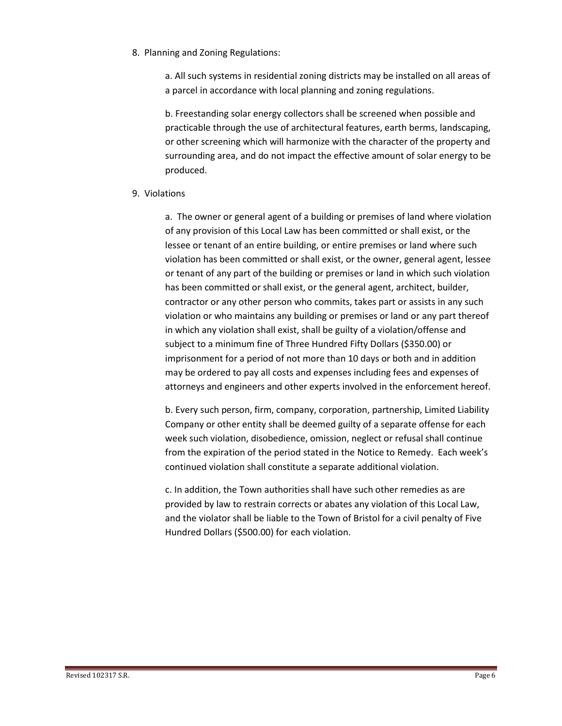8. Planning and Zoning Regulations:

a. All such systems in residential zoning districts may be installed on all areas of a parcel in accordance with local planning and zoning regulations.

b. Freestanding solar energy collectors shall be screened when possible and practicable through the use of architectural features, earth berms, landscaping, or other screening which will harmonize with the character of the property and surrounding area, and do not impact the effective amount of solar energy to be produced.

9. Violations

a. The owner or general agent of a building or premises of land where violation of any provision of this Local Law has been committed or shall exist, or the lessee or tenant of an entire building, or entire premises or land where such violation has been committed or shall exist, or the owner, general agent, lessee or tenant of any part of the building or premises or land in which such violation has been committed or shall exist, or the general agent, architect, builder, contractor or any other person who commits, takes part or assists in any such violation or who maintains any building or premises or land or any part thereof in which any violation shall exist, shall be guilty of a violation/offense and subject to a minimum fine of Three Hundred Fifty Dollars (\$350.00) or imprisonment for a period of not more than 10 days or both and in addition may be ordered to pay all costs and expenses including fees and expenses of attorneys and engineers and other experts involved in the enforcement hereof.

b. Every such person, firm, company, corporation, partnership, Limited Liability Company or other entity shall be deemed guilty of a separate offense for each week such violation, disobedience, omission, neglect or refusal shall continue from the expiration of the period stated in the Notice to Remedy. Each week's continued violation shall constitute a separate additional violation.

c. In addition, the Town authorities shall have such other remedies as are provided by law to restrain corrects or abates any violation of this Local Law, and the violator shall be liable to the Town of Bristol for a civil penalty of Five Hundred Dollars (\$500.00) for each violation.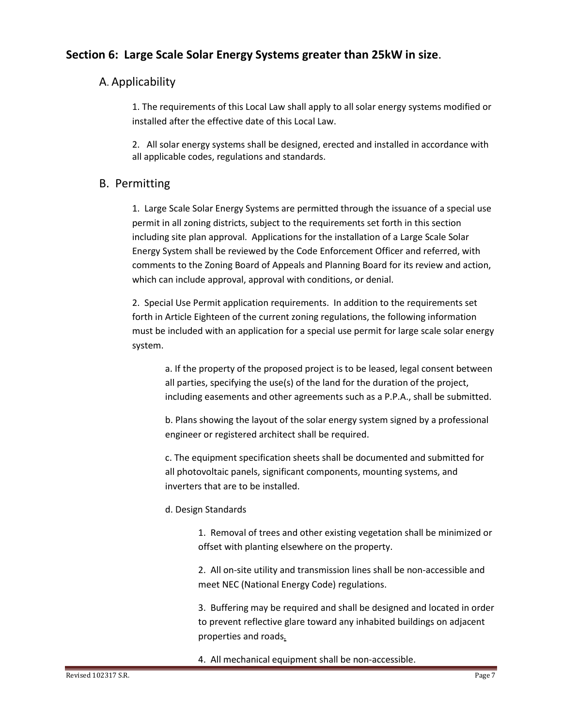### **Section 6: Large Scale Solar Energy Systems greater than 25kW in size**.

#### A. Applicability

1. The requirements of this Local Law shall apply to all solar energy systems modified or installed after the effective date of this Local Law.

2. All solar energy systems shall be designed, erected and installed in accordance with all applicable codes, regulations and standards.

#### B. Permitting

1. Large Scale Solar Energy Systems are permitted through the issuance of a special use permit in all zoning districts, subject to the requirements set forth in this section including site plan approval. Applications for the installation of a Large Scale Solar Energy System shall be reviewed by the Code Enforcement Officer and referred, with comments to the Zoning Board of Appeals and Planning Board for its review and action, which can include approval, approval with conditions, or denial.

2. Special Use Permit application requirements. In addition to the requirements set forth in Article Eighteen of the current zoning regulations, the following information must be included with an application for a special use permit for large scale solar energy system.

a. If the property of the proposed project is to be leased, legal consent between all parties, specifying the use(s) of the land for the duration of the project, including easements and other agreements such as a P.P.A., shall be submitted.

b. Plans showing the layout of the solar energy system signed by a professional engineer or registered architect shall be required.

c. The equipment specification sheets shall be documented and submitted for all photovoltaic panels, significant components, mounting systems, and inverters that are to be installed.

d. Design Standards

1. Removal of trees and other existing vegetation shall be minimized or offset with planting elsewhere on the property.

2. All on-site utility and transmission lines shall be non-accessible and meet NEC (National Energy Code) regulations.

3. Buffering may be required and shall be designed and located in order to prevent reflective glare toward any inhabited buildings on adjacent properties and roads*.*

4. All mechanical equipment shall be non-accessible.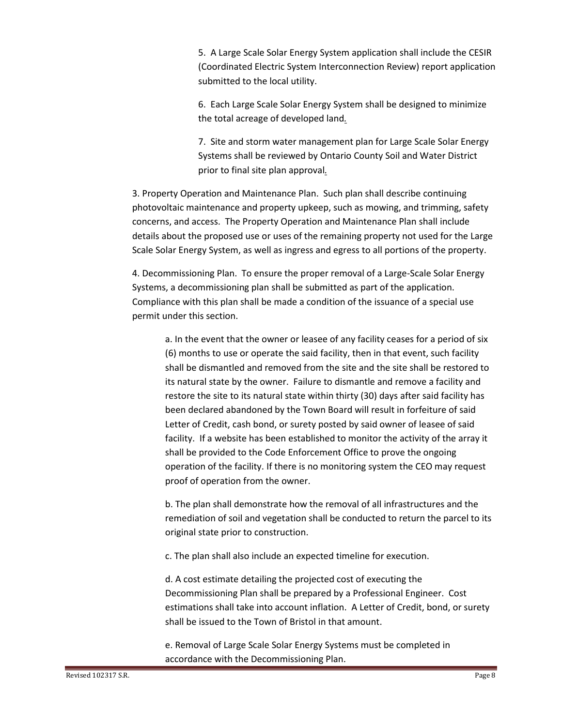5. A Large Scale Solar Energy System application shall include the CESIR (Coordinated Electric System Interconnection Review) report application submitted to the local utility.

6. Each Large Scale Solar Energy System shall be designed to minimize the total acreage of developed land*.*

7. Site and storm water management plan for Large Scale Solar Energy Systems shall be reviewed by Ontario County Soil and Water District prior to final site plan approval*.*

3. Property Operation and Maintenance Plan. Such plan shall describe continuing photovoltaic maintenance and property upkeep, such as mowing, and trimming, safety concerns, and access. The Property Operation and Maintenance Plan shall include details about the proposed use or uses of the remaining property not used for the Large Scale Solar Energy System, as well as ingress and egress to all portions of the property.

4. Decommissioning Plan. To ensure the proper removal of a Large-Scale Solar Energy Systems, a decommissioning plan shall be submitted as part of the application. Compliance with this plan shall be made a condition of the issuance of a special use permit under this section.

a. In the event that the owner or leasee of any facility ceases for a period of six (6) months to use or operate the said facility, then in that event, such facility shall be dismantled and removed from the site and the site shall be restored to its natural state by the owner. Failure to dismantle and remove a facility and restore the site to its natural state within thirty (30) days after said facility has been declared abandoned by the Town Board will result in forfeiture of said Letter of Credit, cash bond, or surety posted by said owner of leasee of said facility. If a website has been established to monitor the activity of the array it shall be provided to the Code Enforcement Office to prove the ongoing operation of the facility. If there is no monitoring system the CEO may request proof of operation from the owner.

b. The plan shall demonstrate how the removal of all infrastructures and the remediation of soil and vegetation shall be conducted to return the parcel to its original state prior to construction.

c. The plan shall also include an expected timeline for execution.

d. A cost estimate detailing the projected cost of executing the Decommissioning Plan shall be prepared by a Professional Engineer. Cost estimations shall take into account inflation. A Letter of Credit, bond, or surety shall be issued to the Town of Bristol in that amount.

e. Removal of Large Scale Solar Energy Systems must be completed in accordance with the Decommissioning Plan.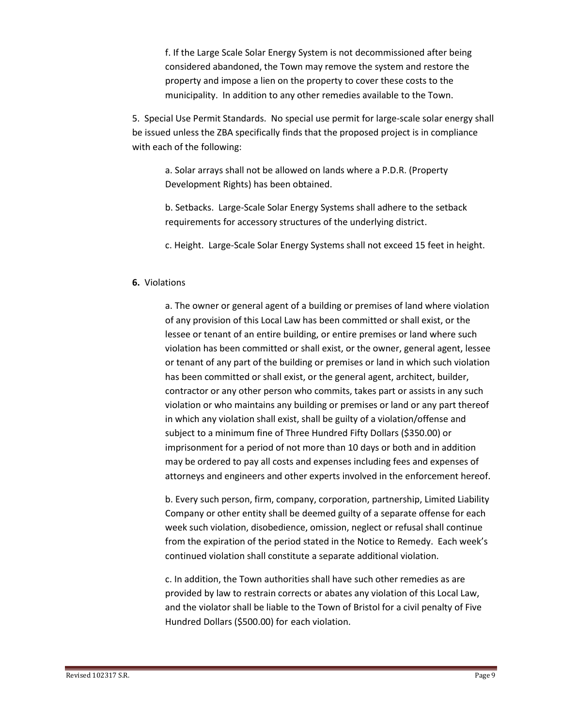f. If the Large Scale Solar Energy System is not decommissioned after being considered abandoned, the Town may remove the system and restore the property and impose a lien on the property to cover these costs to the municipality. In addition to any other remedies available to the Town.

5. Special Use Permit Standards. No special use permit for large-scale solar energy shall be issued unless the ZBA specifically finds that the proposed project is in compliance with each of the following:

a. Solar arrays shall not be allowed on lands where a P.D.R. (Property Development Rights) has been obtained.

b. Setbacks. Large-Scale Solar Energy Systems shall adhere to the setback requirements for accessory structures of the underlying district.

c. Height. Large-Scale Solar Energy Systems shall not exceed 15 feet in height.

#### **6.** Violations

a. The owner or general agent of a building or premises of land where violation of any provision of this Local Law has been committed or shall exist, or the lessee or tenant of an entire building, or entire premises or land where such violation has been committed or shall exist, or the owner, general agent, lessee or tenant of any part of the building or premises or land in which such violation has been committed or shall exist, or the general agent, architect, builder, contractor or any other person who commits, takes part or assists in any such violation or who maintains any building or premises or land or any part thereof in which any violation shall exist, shall be guilty of a violation/offense and subject to a minimum fine of Three Hundred Fifty Dollars (\$350.00) or imprisonment for a period of not more than 10 days or both and in addition may be ordered to pay all costs and expenses including fees and expenses of attorneys and engineers and other experts involved in the enforcement hereof.

b. Every such person, firm, company, corporation, partnership, Limited Liability Company or other entity shall be deemed guilty of a separate offense for each week such violation, disobedience, omission, neglect or refusal shall continue from the expiration of the period stated in the Notice to Remedy. Each week's continued violation shall constitute a separate additional violation.

c. In addition, the Town authorities shall have such other remedies as are provided by law to restrain corrects or abates any violation of this Local Law, and the violator shall be liable to the Town of Bristol for a civil penalty of Five Hundred Dollars (\$500.00) for each violation.